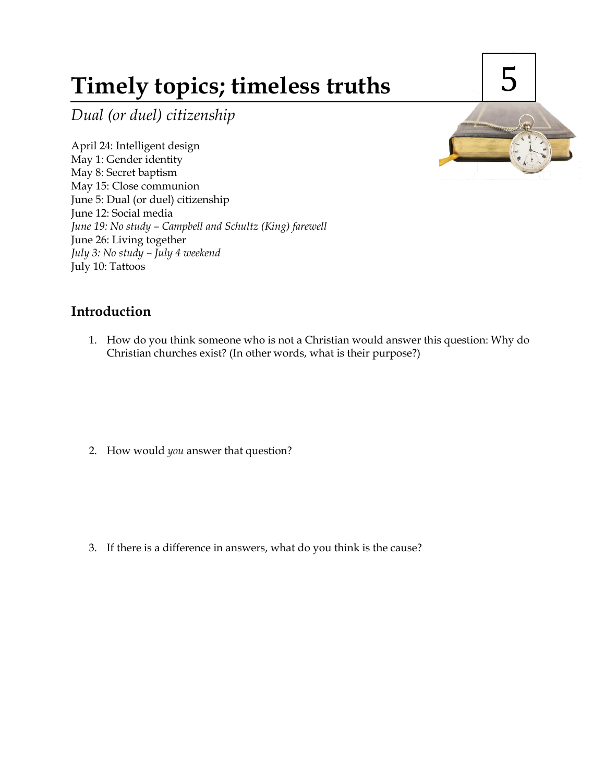# **Timely topics; timeless truths**

*Dual (or duel) citizenship*

April 24: Intelligent design May 1: Gender identity May 8: Secret baptism May 15: Close communion June 5: Dual (or duel) citizenship June 12: Social media *June 19: No study – Campbell and Schultz (King) farewell* June 26: Living together *July 3: No study – July 4 weekend* July 10: Tattoos



## **Introduction**

1. How do you think someone who is not a Christian would answer this question: Why do Christian churches exist? (In other words, what is their purpose?)

2. How would *you* answer that question?

3. If there is a difference in answers, what do you think is the cause?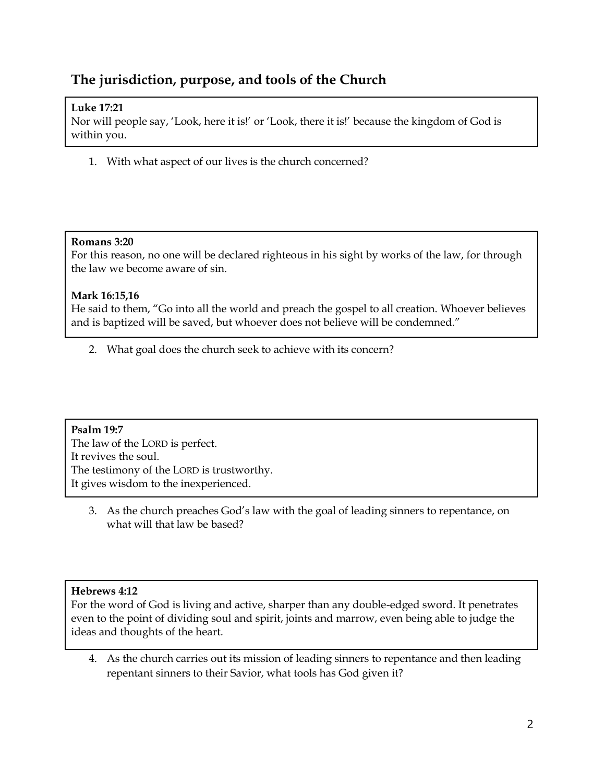# **The jurisdiction, purpose, and tools of the Church**

### **Luke 17:21**

Nor will people say, 'Look, here it is!' or 'Look, there it is!' because the kingdom of God is within you.

1. With what aspect of our lives is the church concerned?

#### **Romans 3:20**

For this reason, no one will be declared righteous in his sight by works of the law, for through the law we become aware of sin.

#### **Mark 16:15,16**

He said to them, "Go into all the world and preach the gospel to all creation. Whoever believes and is baptized will be saved, but whoever does not believe will be condemned."

2. What goal does the church seek to achieve with its concern?

#### **Psalm 19:7**

The law of the LORD is perfect. It revives the soul. The testimony of the LORD is trustworthy. It gives wisdom to the inexperienced.

3. As the church preaches God's law with the goal of leading sinners to repentance, on what will that law be based?

#### **Hebrews 4:12**

For the word of God is living and active, sharper than any double-edged sword. It penetrates even to the point of dividing soul and spirit, joints and marrow, even being able to judge the ideas and thoughts of the heart.

4. As the church carries out its mission of leading sinners to repentance and then leading repentant sinners to their Savior, what tools has God given it?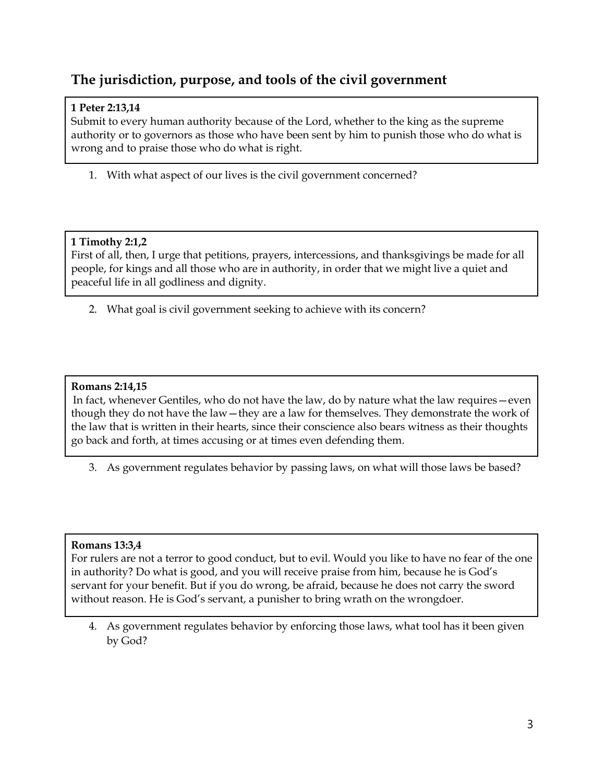# **The jurisdiction, purpose, and tools of the civil government**

## **1 Peter 2:13,14**

Submit to every human authority because of the Lord, whether to the king as the supreme authority or to governors as those who have been sent by him to punish those who do what is wrong and to praise those who do what is right.

1. With what aspect of our lives is the civil government concerned?

## **1 Timothy 2:1,2**

First of all, then, I urge that petitions, prayers, intercessions, and thanksgivings be made for all people, for kings and all those who are in authority, in order that we might live a quiet and peaceful life in all godliness and dignity.

2. What goal is civil government seeking to achieve with its concern?

## **Romans 2:14,15**

In fact, whenever Gentiles, who do not have the law, do by nature what the law requires—even though they do not have the law—they are a law for themselves. They demonstrate the work of the law that is written in their hearts, since their conscience also bears witness as their thoughts go back and forth, at times accusing or at times even defending them.

3. As government regulates behavior by passing laws, on what will those laws be based?

#### **Romans 13:3,4**

For rulers are not a terror to good conduct, but to evil. Would you like to have no fear of the one in authority? Do what is good, and you will receive praise from him, because he is God's servant for your benefit. But if you do wrong, be afraid, because he does not carry the sword without reason. He is God's servant, a punisher to bring wrath on the wrongdoer.

4. As government regulates behavior by enforcing those laws, what tool has it been given by God?